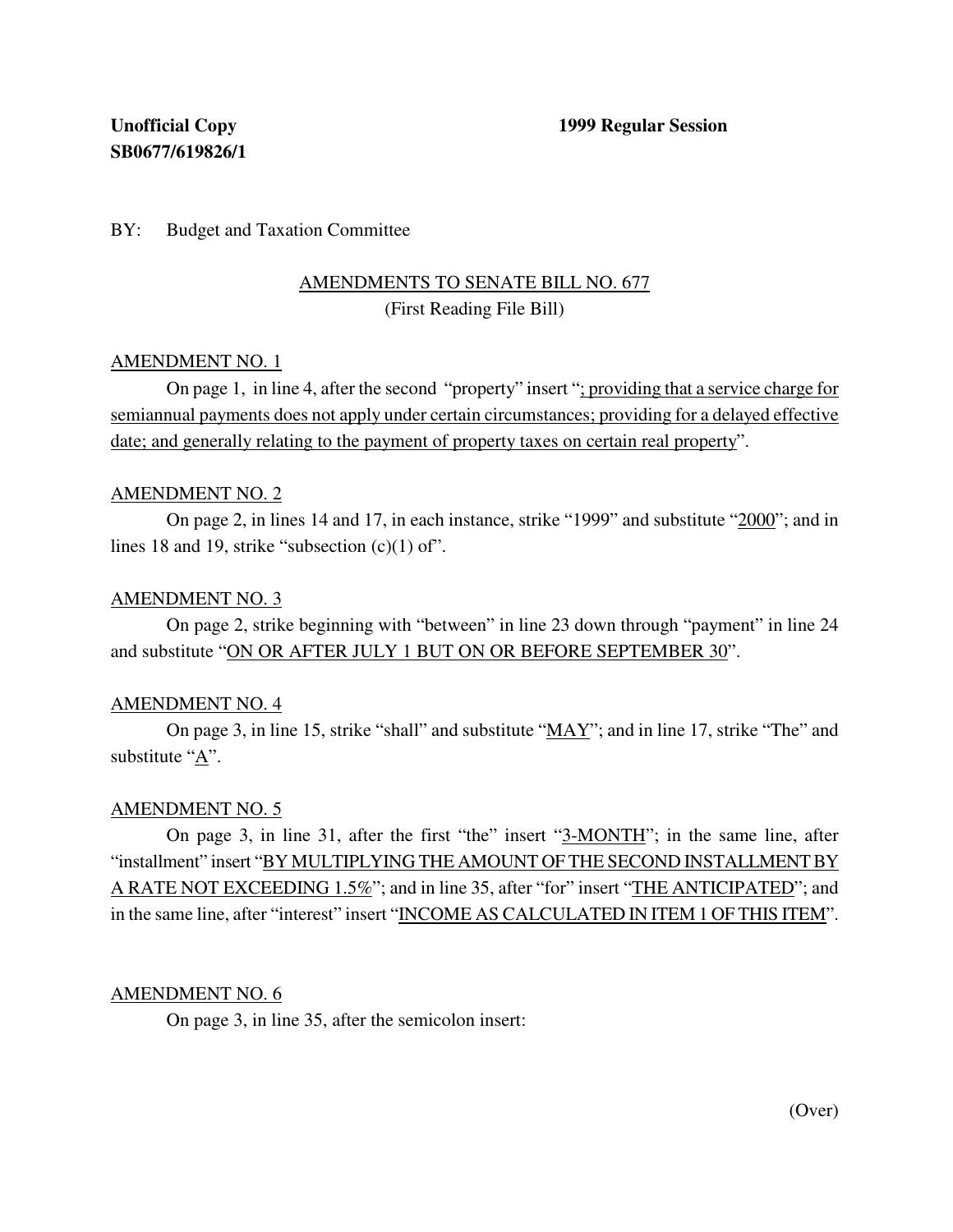## BY: Budget and Taxation Committee

## AMENDMENTS TO SENATE BILL NO. 677 (First Reading File Bill)

## AMENDMENT NO. 1

On page 1, in line 4, after the second "property" insert "; providing that a service charge for semiannual payments does not apply under certain circumstances; providing for a delayed effective date; and generally relating to the payment of property taxes on certain real property".

### AMENDMENT NO. 2

On page 2, in lines 14 and 17, in each instance, strike "1999" and substitute "2000"; and in lines 18 and 19, strike "subsection  $(c)(1)$  of".

### AMENDMENT NO. 3

On page 2, strike beginning with "between" in line 23 down through "payment" in line 24 and substitute "ON OR AFTER JULY 1 BUT ON OR BEFORE SEPTEMBER 30".

## AMENDMENT NO. 4

On page 3, in line 15, strike "shall" and substitute " $\overline{MAX}$ "; and in line 17, strike "The" and substitute "A".

## AMENDMENT NO. 5

On page 3, in line 31, after the first "the" insert "3-MONTH"; in the same line, after "installment" insert "BY MULTIPLYING THE AMOUNT OF THE SECOND INSTALLMENT BY A RATE NOT EXCEEDING 1.5%"; and in line 35, after "for" insert "THE ANTICIPATED"; and in the same line, after "interest" insert "INCOME AS CALCULATED IN ITEM 1 OF THIS ITEM".

#### AMENDMENT NO. 6

On page 3, in line 35, after the semicolon insert: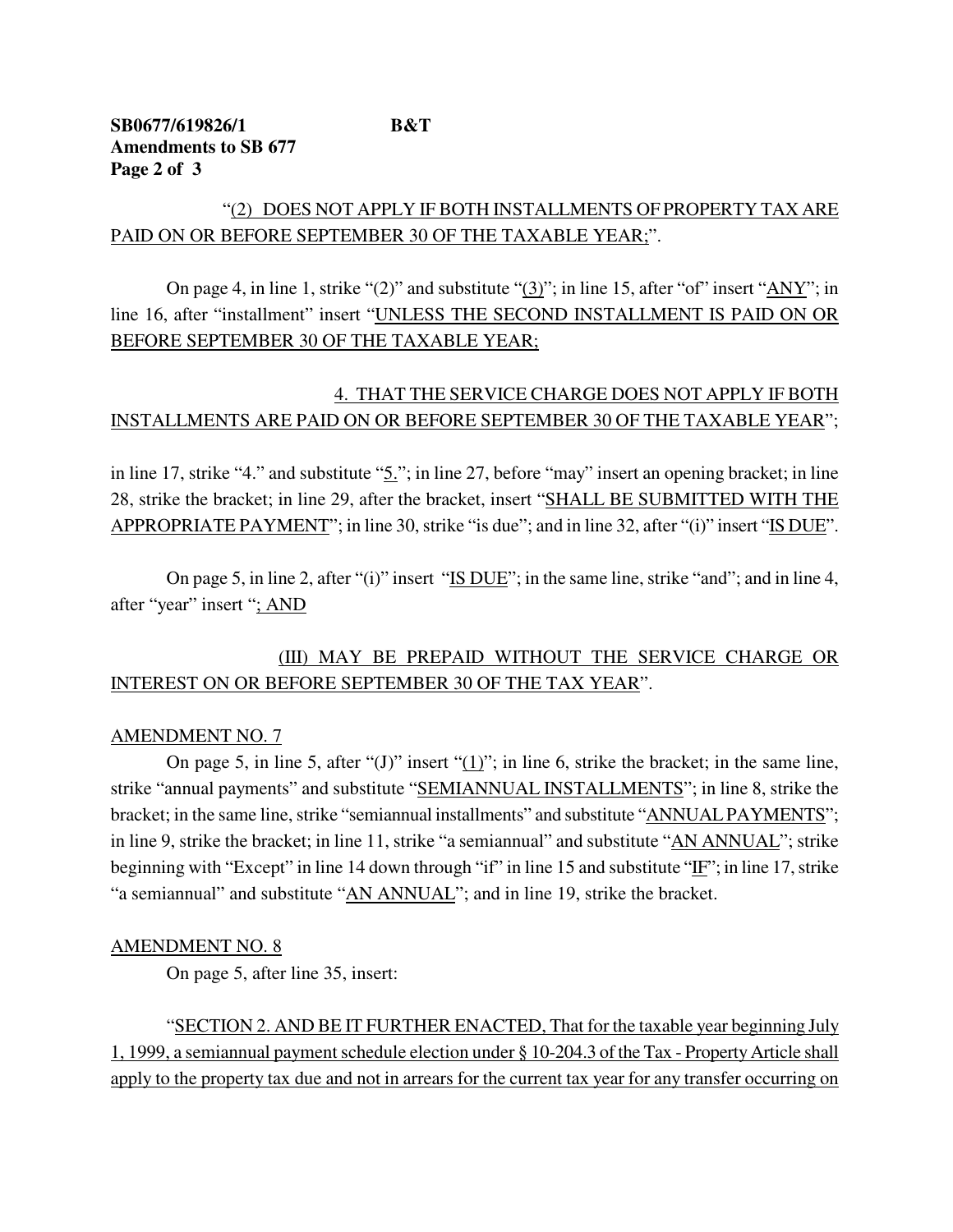## **SB0677/619826/1 B&T Amendments to SB 677 Page 2 of 3**

## "(2) DOES NOT APPLY IF BOTH INSTALLMENTS OF PROPERTY TAX ARE PAID ON OR BEFORE SEPTEMBER 30 OF THE TAXABLE YEAR;".

On page 4, in line 1, strike "(2)" and substitute " $(3)$ "; in line 15, after "of" insert " $\Delta NY$ "; in line 16, after "installment" insert "UNLESS THE SECOND INSTALLMENT IS PAID ON OR BEFORE SEPTEMBER 30 OF THE TAXABLE YEAR;

## 4. THAT THE SERVICE CHARGE DOES NOT APPLY IF BOTH INSTALLMENTS ARE PAID ON OR BEFORE SEPTEMBER 30 OF THE TAXABLE YEAR";

in line 17, strike "4." and substitute "5."; in line 27, before "may" insert an opening bracket; in line 28, strike the bracket; in line 29, after the bracket, insert "SHALL BE SUBMITTED WITH THE APPROPRIATE PAYMENT"; in line 30, strike "is due"; and in line 32, after "(i)" insert "IS DUE".

On page 5, in line 2, after "(i)" insert " $IS DUE$ "; in the same line, strike "and"; and in line 4, after "year" insert "; AND

# (III) MAY BE PREPAID WITHOUT THE SERVICE CHARGE OR INTEREST ON OR BEFORE SEPTEMBER 30 OF THE TAX YEAR".

## AMENDMENT NO. 7

On page 5, in line 5, after " $(J)$ " insert " $(1)$ "; in line 6, strike the bracket; in the same line, strike "annual payments" and substitute "SEMIANNUAL INSTALLMENTS"; in line 8, strike the bracket; in the same line, strike "semiannual installments" and substitute "ANNUAL PAYMENTS"; in line 9, strike the bracket; in line 11, strike "a semiannual" and substitute "AN ANNUAL"; strike beginning with "Except" in line 14 down through "if" in line 15 and substitute " $E$ "; in line 17, strike "a semiannual" and substitute "AN ANNUAL"; and in line 19, strike the bracket.

## AMENDMENT NO. 8

On page 5, after line 35, insert:

"SECTION 2. AND BE IT FURTHER ENACTED, That for the taxable year beginning July 1, 1999, a semiannual payment schedule election under § 10-204.3 of the Tax - Property Article shall apply to the property tax due and not in arrears for the current tax year for any transfer occurring on